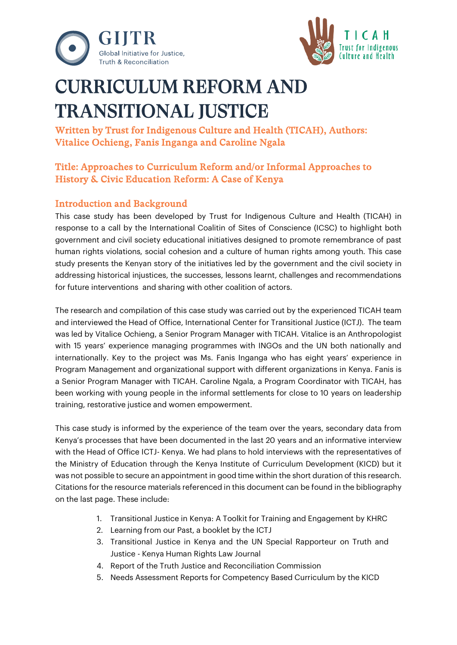



# CURRICULUM REFORM AND TRANSITIONAL JUSTICE

Written by Trust for Indigenous Culture and Health (TICAH), Authors: Vitalice Ochieng, Fanis Inganga and Caroline Ngala

# Title: Approaches to Curriculum Reform and/or Informal Approaches to History & Civic Education Reform: A Case of Kenya

## Introduction and Background

This case study has been developed by Trust for Indigenous Culture and Health (TICAH) in response to a call by the International Coalitin of Sites of Conscience (ICSC) to highlight both government and civil society educational initiatives designed to promote remembrance of past human rights violations, social cohesion and a culture of human rights among youth. This case study presents the Kenyan story of the initiatives led by the government and the civil society in addressing historical injustices, the successes, lessons learnt, challenges and recommendations for future interventions and sharing with other coalition of actors.

The research and compilation of this case study was carried out by the experienced TICAH team and interviewed the Head of Office, International Center for Transitional Justice (ICTJ). The team was led by Vitalice Ochieng, a Senior Program Manager with TICAH. Vitalice is an Anthropologist with 15 years' experience managing programmes with INGOs and the UN both nationally and internationally. Key to the project was Ms. Fanis Inganga who has eight years' experience in Program Management and organizational support with different organizations in Kenya. Fanis is a Senior Program Manager with TICAH. Caroline Ngala, a Program Coordinator with TICAH, has been working with young people in the informal settlements for close to 10 years on leadership training, restorative justice and women empowerment.

This case study is informed by the experience of the team over the years, secondary data from Kenya's processes that have been documented in the last 20 years and an informative interview with the Head of Office ICTJ- Kenya. We had plans to hold interviews with the representatives of the Ministry of Education through the Kenya Institute of Curriculum Development (KICD) but it was not possible to secure an appointment in good time within the short duration of this research. Citations for the resource materials referenced in this document can be found in the bibliography on the last page. These include:

- 1. Transitional Justice in Kenya: A Toolkit for Training and Engagement by KHRC
- 2. Learning from our Past, a booklet by the ICTJ
- 3. Transitional Justice in Kenya and the UN Special Rapporteur on Truth and Justice - Kenya Human Rights Law Journal
- 4. Report of the Truth Justice and Reconciliation Commission
- 5. Needs Assessment Reports for Competency Based Curriculum by the KICD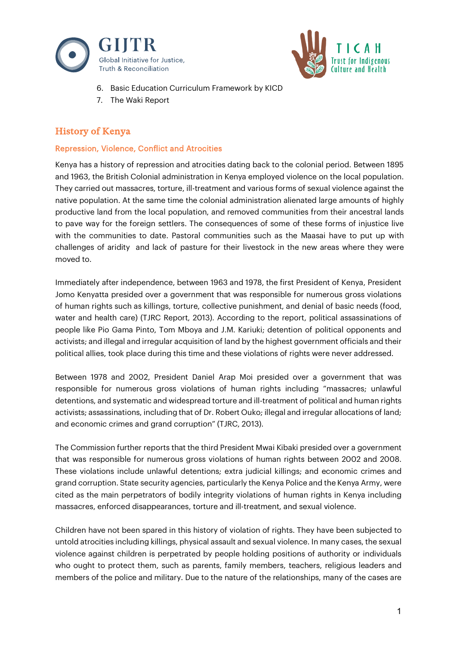



- 6. Basic Education Curriculum Framework by KICD
- 7. The Waki Report

## History of Kenya

#### Repression, Violence, Conflict and Atrocities

Kenya has a history of repression and atrocities dating back to the colonial period. Between 1895 and 1963, the British Colonial administration in Kenya employed violence on the local population. They carried out massacres, torture, ill-treatment and various forms of sexual violence against the native population. At the same time the colonial administration alienated large amounts of highly productive land from the local population, and removed communities from their ancestral lands to pave way for the foreign settlers. The consequences of some of these forms of injustice live with the communities to date. Pastoral communities such as the Maasai have to put up with challenges of aridity and lack of pasture for their livestock in the new areas where they were moved to.

Immediately after independence, between 1963 and 1978, the first President of Kenya, President Jomo Kenyatta presided over a government that was responsible for numerous gross violations of human rights such as killings, torture, collective punishment, and denial of basic needs (food, water and health care) (TJRC Report, 2013). According to the report, political assassinations of people like Pio Gama Pinto, Tom Mboya and J.M. Kariuki; detention of political opponents and activists; and illegal and irregular acquisition of land by the highest government officials and their political allies, took place during this time and these violations of rights were never addressed.

Between 1978 and 2002, President Daniel Arap Moi presided over a government that was responsible for numerous gross violations of human rights including "massacres; unlawful detentions, and systematic and widespread torture and ill-treatment of political and human rights activists; assassinations, including that of Dr. Robert Ouko; illegal and irregular allocations of land; and economic crimes and grand corruption" (TJRC, 2013).

The Commission further reports that the third President Mwai Kibaki presided over a government that was responsible for numerous gross violations of human rights between 2002 and 2008. These violations include unlawful detentions; extra judicial killings; and economic crimes and grand corruption. State security agencies, particularly the Kenya Police and the Kenya Army, were cited as the main perpetrators of bodily integrity violations of human rights in Kenya including massacres, enforced disappearances, torture and ill-treatment, and sexual violence.

Children have not been spared in this history of violation of rights. They have been subjected to untold atrocities including killings, physical assault and sexual violence. In many cases, the sexual violence against children is perpetrated by people holding positions of authority or individuals who ought to protect them, such as parents, family members, teachers, religious leaders and members of the police and military. Due to the nature of the relationships, many of the cases are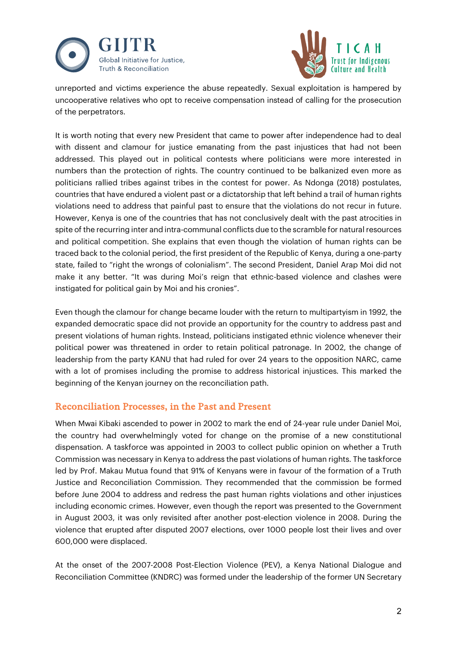



unreported and victims experience the abuse repeatedly. Sexual exploitation is hampered by uncooperative relatives who opt to receive compensation instead of calling for the prosecution of the perpetrators.

It is worth noting that every new President that came to power after independence had to deal with dissent and clamour for justice emanating from the past injustices that had not been addressed. This played out in political contests where politicians were more interested in numbers than the protection of rights. The country continued to be balkanized even more as politicians rallied tribes against tribes in the contest for power. As Ndonga (2018) postulates, countries that have endured a violent past or a dictatorship that left behind a trail of human rights violations need to address that painful past to ensure that the violations do not recur in future. However, Kenya is one of the countries that has not conclusively dealt with the past atrocities in spite of the recurring inter and intra-communal conflicts due to the scramble for natural resources and political competition. She explains that even though the violation of human rights can be traced back to the colonial period, the first president of the Republic of Kenya, during a one-party state, failed to "right the wrongs of colonialism". The second President, Daniel Arap Moi did not make it any better. "It was during Moi's reign that ethnic-based violence and clashes were instigated for political gain by Moi and his cronies".

Even though the clamour for change became louder with the return to multipartyism in 1992, the expanded democratic space did not provide an opportunity for the country to address past and present violations of human rights. Instead, politicians instigated ethnic violence whenever their political power was threatened in order to retain political patronage. In 2002, the change of leadership from the party KANU that had ruled for over 24 years to the opposition NARC, came with a lot of promises including the promise to address historical injustices. This marked the beginning of the Kenyan journey on the reconciliation path.

## Reconciliation Processes, in the Past and Present

When Mwai Kibaki ascended to power in 2002 to mark the end of 24-year rule under Daniel Moi, the country had overwhelmingly voted for change on the promise of a new constitutional dispensation. A taskforce was appointed in 2003 to collect public opinion on whether a Truth Commission was necessary in Kenya to address the past violations of human rights. The taskforce led by Prof. Makau Mutua found that 91% of Kenyans were in favour of the formation of a Truth Justice and Reconciliation Commission. They recommended that the commission be formed before June 2004 to address and redress the past human rights violations and other injustices including economic crimes. However, even though the report was presented to the Government in August 2003, it was only revisited after another post-election violence in 2008. During the violence that erupted after disputed 2007 elections, over 1000 people lost their lives and over 600,000 were displaced.

At the onset of the 2007-2008 Post-Election Violence (PEV), a Kenya National Dialogue and Reconciliation Committee (KNDRC) was formed under the leadership of the former UN Secretary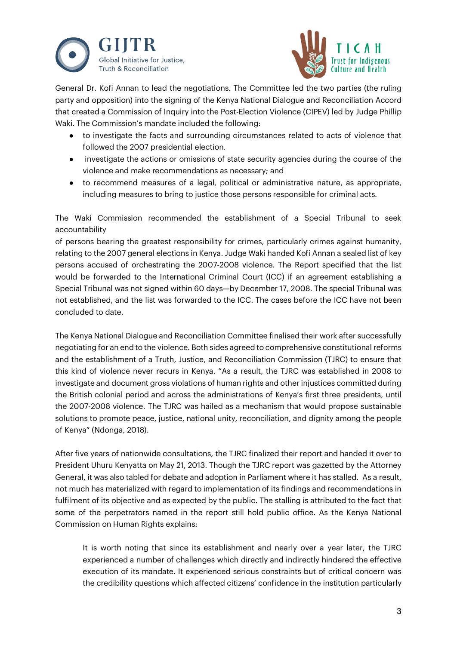



General Dr. Kofi Annan to lead the negotiations. The Committee led the two parties (the ruling party and opposition) into the signing of the Kenya National Dialogue and Reconciliation Accord that created a Commission of Inquiry into the Post-Election Violence (CIPEV) led by Judge Phillip Waki. The Commission's mandate included the following:

- to investigate the facts and surrounding circumstances related to acts of violence that followed the 2007 presidential election.
- investigate the actions or omissions of state security agencies during the course of the violence and make recommendations as necessary; and
- to recommend measures of a legal, political or administrative nature, as appropriate, including measures to bring to justice those persons responsible for criminal acts.

The Waki Commission recommended the establishment of a Special Tribunal to seek accountability

of persons bearing the greatest responsibility for crimes, particularly crimes against humanity, relating to the 2007 general elections in Kenya. Judge Waki handed Kofi Annan a sealed list of key persons accused of orchestrating the 2007-2008 violence. The Report specified that the list would be forwarded to the International Criminal Court (ICC) if an agreement establishing a Special Tribunal was not signed within 60 days—by December 17, 2008. The special Tribunal was not established, and the list was forwarded to the ICC. The cases before the ICC have not been concluded to date.

The Kenya National Dialogue and Reconciliation Committee finalised their work after successfully negotiating for an end to the violence. Both sides agreed to comprehensive constitutional reforms and the establishment of a Truth, Justice, and Reconciliation Commission (TJRC) to ensure that this kind of violence never recurs in Kenya. "As a result, the TJRC was established in 2008 to investigate and document gross violations of human rights and other injustices committed during the British colonial period and across the administrations of Kenya's first three presidents, until the 2007-2008 violence. The TJRC was hailed as a mechanism that would propose sustainable solutions to promote peace, justice, national unity, reconciliation, and dignity among the people of Kenya" (Ndonga, 2018).

After five years of nationwide consultations, the TJRC finalized their report and handed it over to President Uhuru Kenyatta on May 21, 2013. Though the TJRC report was gazetted by the Attorney General, it was also tabled for debate and adoption in Parliament where it has stalled. As a result, not much has materialized with regard to implementation of its findings and recommendations in fulfilment of its objective and as expected by the public. The stalling is attributed to the fact that some of the perpetrators named in the report still hold public office. As the Kenya National Commission on Human Rights explains:

It is worth noting that since its establishment and nearly over a year later, the TJRC experienced a number of challenges which directly and indirectly hindered the effective execution of its mandate. It experienced serious constraints but of critical concern was the credibility questions which affected citizens' confidence in the institution particularly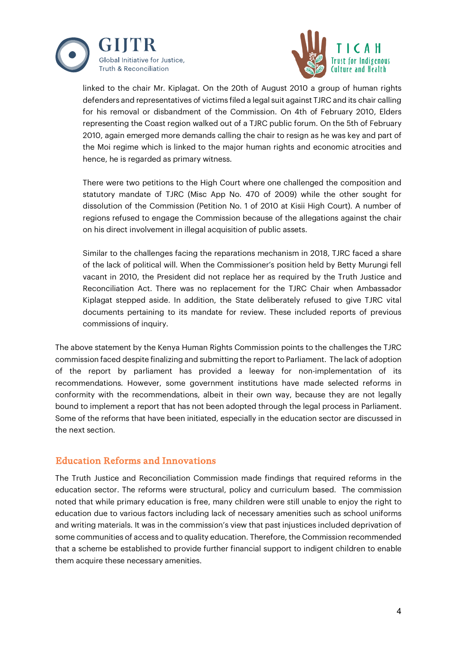



linked to the chair Mr. Kiplagat. On the 20th of August 2010 a group of human rights defenders and representatives of victims filed a legal suit against TJRC and its chair calling for his removal or disbandment of the Commission. On 4th of February 2010, Elders representing the Coast region walked out of a TJRC public forum. On the 5th of February 2010, again emerged more demands calling the chair to resign as he was key and part of the Moi regime which is linked to the major human rights and economic atrocities and hence, he is regarded as primary witness.

There were two petitions to the High Court where one challenged the composition and statutory mandate of TJRC (Misc App No. 470 of 2009) while the other sought for dissolution of the Commission (Petition No. 1 of 2010 at Kisii High Court). A number of regions refused to engage the Commission because of the allegations against the chair on his direct involvement in illegal acquisition of public assets.

Similar to the challenges facing the reparations mechanism in 2018, TJRC faced a share of the lack of political will. When the Commissioner's position held by Betty Murungi fell vacant in 2010, the President did not replace her as required by the Truth Justice and Reconciliation Act. There was no replacement for the TJRC Chair when Ambassador Kiplagat stepped aside. In addition, the State deliberately refused to give TJRC vital documents pertaining to its mandate for review. These included reports of previous commissions of inquiry.

The above statement by the Kenya Human Rights Commission points to the challenges the TJRC commission faced despite finalizing and submitting the report to Parliament. The lack of adoption of the report by parliament has provided a leeway for non-implementation of its recommendations. However, some government institutions have made selected reforms in conformity with the recommendations, albeit in their own way, because they are not legally bound to implement a report that has not been adopted through the legal process in Parliament. Some of the reforms that have been initiated, especially in the education sector are discussed in the next section.

## Education Reforms and Innovations

The Truth Justice and Reconciliation Commission made findings that required reforms in the education sector. The reforms were structural, policy and curriculum based. The commission noted that while primary education is free, many children were still unable to enjoy the right to education due to various factors including lack of necessary amenities such as school uniforms and writing materials. It was in the commission's view that past injustices included deprivation of some communities of access and to quality education. Therefore, the Commission recommended that a scheme be established to provide further financial support to indigent children to enable them acquire these necessary amenities.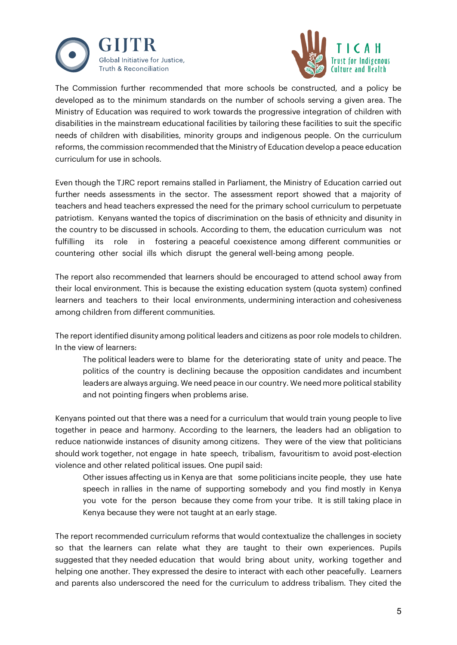



The Commission further recommended that more schools be constructed, and a policy be developed as to the minimum standards on the number of schools serving a given area. The Ministry of Education was required to work towards the progressive integration of children with disabilities in the mainstream educational facilities by tailoring these facilities to suit the specific needs of children with disabilities, minority groups and indigenous people. On the curriculum reforms, the commission recommended that the Ministry of Education develop a peace education curriculum for use in schools.

Even though the TJRC report remains stalled in Parliament, the Ministry of Education carried out further needs assessments in the sector. The assessment report showed that a majority of teachers and head teachers expressed the need for the primary school curriculum to perpetuate patriotism. Kenyans wanted the topics of discrimination on the basis of ethnicity and disunity in the country to be discussed in schools. According to them, the education curriculum was not fulfilling its role in fostering a peaceful coexistence among different communities or countering other social ills which disrupt the general well-being among people.

The report also recommended that learners should be encouraged to attend school away from their local environment. This is because the existing education system (quota system) confined learners and teachers to their local environments, undermining interaction and cohesiveness among children from different communities.

The report identified disunity among political leaders and citizens as poor role models to children. In the view of learners:

The political leaders were to blame for the deteriorating state of unity and peace. The politics of the country is declining because the opposition candidates and incumbent leaders are always arguing. We need peace in our country. We need more political stability and not pointing fingers when problems arise.

Kenyans pointed out that there was a need for a curriculum that would train young people to live together in peace and harmony. According to the learners, the leaders had an obligation to reduce nationwide instances of disunity among citizens. They were of the view that politicians should work together, not engage in hate speech, tribalism, favouritism to avoid post-election violence and other related political issues. One pupil said:

Other issues affecting us in Kenya are that some politicians incite people, they use hate speech in rallies in the name of supporting somebody and you find mostly in Kenya you vote for the person because they come from your tribe. It is still taking place in Kenya because they were not taught at an early stage.

The report recommended curriculum reforms that would contextualize the challenges in society so that the learners can relate what they are taught to their own experiences. Pupils suggested that they needed education that would bring about unity, working together and helping one another. They expressed the desire to interact with each other peacefully. Learners and parents also underscored the need for the curriculum to address tribalism. They cited the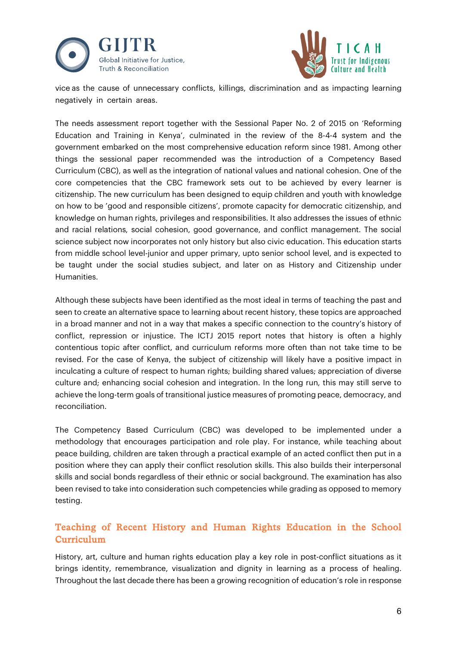



vice as the cause of unnecessary conflicts, killings, discrimination and as impacting learning negatively in certain areas.

The needs assessment report together with the Sessional Paper No. 2 of 2015 on 'Reforming Education and Training in Kenya', culminated in the review of the 8-4-4 system and the government embarked on the most comprehensive education reform since 1981. Among other things the sessional paper recommended was the introduction of a Competency Based Curriculum (CBC), as well as the integration of national values and national cohesion. One of the core competencies that the CBC framework sets out to be achieved by every learner is citizenship. The new curriculum has been designed to equip children and youth with knowledge on how to be 'good and responsible citizens', promote capacity for democratic citizenship, and knowledge on human rights, privileges and responsibilities. It also addresses the issues of ethnic and racial relations, social cohesion, good governance, and conflict management. The social science subject now incorporates not only history but also civic education. This education starts from middle school level-junior and upper primary, upto senior school level, and is expected to be taught under the social studies subject, and later on as History and Citizenship under Humanities.

Although these subjects have been identified as the most ideal in terms of teaching the past and seen to create an alternative space to learning about recent history, these topics are approached in a broad manner and not in a way that makes a specific connection to the country's history of conflict, repression or injustice. The ICTJ 2015 report notes that history is often a highly contentious topic after conflict, and curriculum reforms more often than not take time to be revised. For the case of Kenya, the subject of citizenship will likely have a positive impact in inculcating a culture of respect to human rights; building shared values; appreciation of diverse culture and; enhancing social cohesion and integration. In the long run, this may still serve to achieve the long-term goals of transitional justice measures of promoting peace, democracy, and reconciliation.

The Competency Based Curriculum (CBC) was developed to be implemented under a methodology that encourages participation and role play. For instance, while teaching about peace building, children are taken through a practical example of an acted conflict then put in a position where they can apply their conflict resolution skills. This also builds their interpersonal skills and social bonds regardless of their ethnic or social background. The examination has also been revised to take into consideration such competencies while grading as opposed to memory testing.

## Teaching of Recent History and Human Rights Education in the School Curriculum

History, art, culture and human rights education play a key role in post-conflict situations as it brings identity, remembrance, visualization and dignity in learning as a process of healing. Throughout the last decade there has been a growing recognition of education's role in response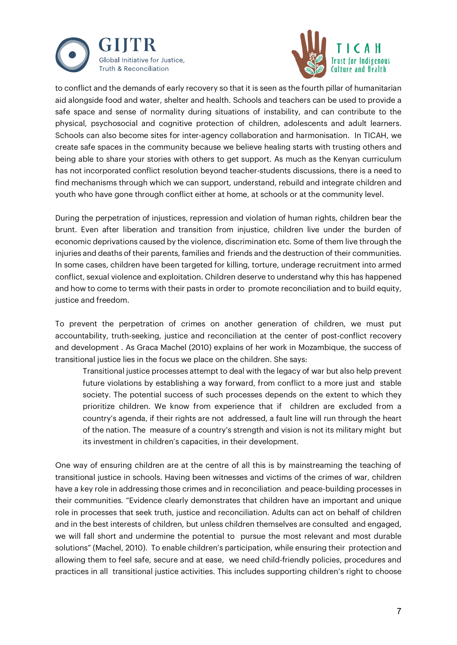



to conflict and the demands of early recovery so that it is seen as the fourth pillar of humanitarian aid alongside food and water, shelter and health. Schools and teachers can be used to provide a safe space and sense of normality during situations of instability, and can contribute to the physical, psychosocial and cognitive protection of children, adolescents and adult learners. Schools can also become sites for inter-agency collaboration and harmonisation. In TICAH, we create safe spaces in the community because we believe healing starts with trusting others and being able to share your stories with others to get support. As much as the Kenyan curriculum has not incorporated conflict resolution beyond teacher-students discussions, there is a need to find mechanisms through which we can support, understand, rebuild and integrate children and youth who have gone through conflict either at home, at schools or at the community level.

During the perpetration of injustices, repression and violation of human rights, children bear the brunt. Even after liberation and transition from injustice, children live under the burden of economic deprivations caused by the violence, discrimination etc. Some of them live through the injuries and deaths of their parents, families and friends and the destruction of their communities. In some cases, children have been targeted for killing, torture, underage recruitment into armed conflict, sexual violence and exploitation. Children deserve to understand why this has happened and how to come to terms with their pasts in order to promote reconciliation and to build equity, justice and freedom.

To prevent the perpetration of crimes on another generation of children, we must put accountability, truth-seeking, justice and reconciliation at the center of post-conflict recovery and development . As Graca Machel (2010) explains of her work in Mozambique, the success of transitional justice lies in the focus we place on the children. She says:

Transitional justice processes attempt to deal with the legacy of war but also help prevent future violations by establishing a way forward, from conflict to a more just and stable society. The potential success of such processes depends on the extent to which they prioritize children. We know from experience that if children are excluded from a country's agenda, if their rights are not addressed, a fault line will run through the heart of the nation. The measure of a country's strength and vision is not its military might but its investment in children's capacities, in their development.

One way of ensuring children are at the centre of all this is by mainstreaming the teaching of transitional justice in schools. Having been witnesses and victims of the crimes of war, children have a key role in addressing those crimes and in reconciliation and peace-building processes in their communities. "Evidence clearly demonstrates that children have an important and unique role in processes that seek truth, justice and reconciliation. Adults can act on behalf of children and in the best interests of children, but unless children themselves are consulted and engaged, we will fall short and undermine the potential to pursue the most relevant and most durable solutions" (Machel, 2010). To enable children's participation, while ensuring their protection and allowing them to feel safe, secure and at ease, we need child-friendly policies, procedures and practices in all transitional justice activities. This includes supporting children's right to choose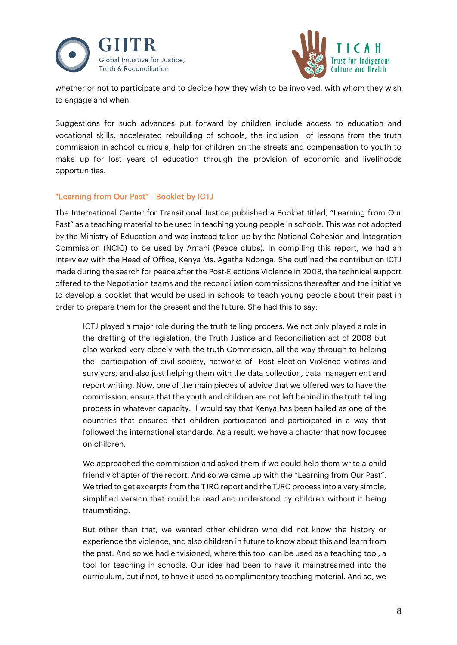



whether or not to participate and to decide how they wish to be involved, with whom they wish to engage and when.

Suggestions for such advances put forward by children include access to education and vocational skills, accelerated rebuilding of schools, the inclusion of lessons from the truth commission in school curricula, help for children on the streets and compensation to youth to make up for lost years of education through the provision of economic and livelihoods opportunities.

#### "Learning from Our Past" - Booklet by ICTJ

The International Center for Transitional Justice published a Booklet titled, "Learning from Our Past" as a teaching material to be used in teaching young people in schools. This was not adopted by the Ministry of Education and was instead taken up by the National Cohesion and Integration Commission (NCIC) to be used by Amani (Peace clubs). In compiling this report, we had an interview with the Head of Office, Kenya Ms. Agatha Ndonga. She outlined the contribution ICTJ made during the search for peace after the Post-Elections Violence in 2008, the technical support offered to the Negotiation teams and the reconciliation commissions thereafter and the initiative to develop a booklet that would be used in schools to teach young people about their past in order to prepare them for the present and the future. She had this to say:

ICTJ played a major role during the truth telling process. We not only played a role in the drafting of the legislation, the Truth Justice and Reconciliation act of 2008 but also worked very closely with the truth Commission, all the way through to helping the participation of civil society, networks of Post Election Violence victims and survivors, and also just helping them with the data collection, data management and report writing. Now, one of the main pieces of advice that we offered was to have the commission, ensure that the youth and children are not left behind in the truth telling process in whatever capacity. I would say that Kenya has been hailed as one of the countries that ensured that children participated and participated in a way that followed the international standards. As a result, we have a chapter that now focuses on children.

We approached the commission and asked them if we could help them write a child friendly chapter of the report. And so we came up with the "Learning from Our Past". We tried to get excerpts from the TJRC report and the TJRC process into a very simple, simplified version that could be read and understood by children without it being traumatizing.

But other than that, we wanted other children who did not know the history or experience the violence, and also children in future to know about this and learn from the past. And so we had envisioned, where this tool can be used as a teaching tool, a tool for teaching in schools. Our idea had been to have it mainstreamed into the curriculum, but if not, to have it used as complimentary teaching material. And so, we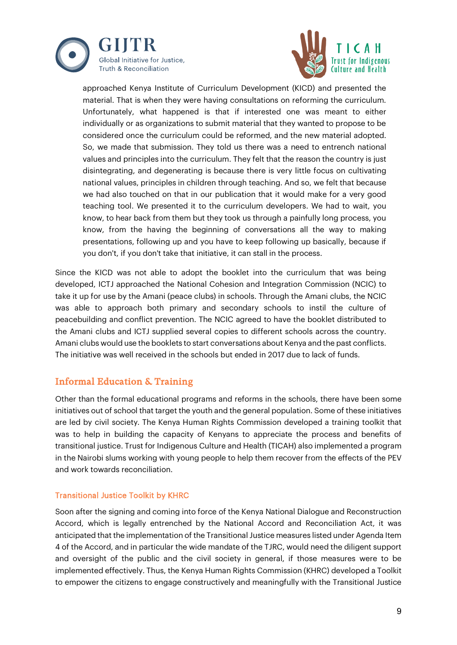



approached Kenya Institute of Curriculum Development (KICD) and presented the material. That is when they were having consultations on reforming the curriculum. Unfortunately, what happened is that if interested one was meant to either individually or as organizations to submit material that they wanted to propose to be considered once the curriculum could be reformed, and the new material adopted. So, we made that submission. They told us there was a need to entrench national values and principles into the curriculum. They felt that the reason the country is just disintegrating, and degenerating is because there is very little focus on cultivating national values, principles in children through teaching. And so, we felt that because we had also touched on that in our publication that it would make for a very good teaching tool. We presented it to the curriculum developers. We had to wait, you know, to hear back from them but they took us through a painfully long process, you know, from the having the beginning of conversations all the way to making presentations, following up and you have to keep following up basically, because if you don't, if you don't take that initiative, it can stall in the process.

Since the KICD was not able to adopt the booklet into the curriculum that was being developed, ICTJ approached the National Cohesion and Integration Commission (NCIC) to take it up for use by the Amani (peace clubs) in schools. Through the Amani clubs, the NCIC was able to approach both primary and secondary schools to instil the culture of peacebuilding and conflict prevention. The NCIC agreed to have the booklet distributed to the Amani clubs and ICTJ supplied several copies to different schools across the country. Amani clubs would use the booklets to start conversations about Kenya and the past conflicts. The initiative was well received in the schools but ended in 2017 due to lack of funds.

## Informal Education & Training

Other than the formal educational programs and reforms in the schools, there have been some initiatives out of school that target the youth and the general population. Some of these initiatives are led by civil society. The Kenya Human Rights Commission developed a training toolkit that was to help in building the capacity of Kenyans to appreciate the process and benefits of transitional justice. Trust for Indigenous Culture and Health (TICAH) also implemented a program in the Nairobi slums working with young people to help them recover from the effects of the PEV and work towards reconciliation.

### Transitional Justice Toolkit by KHRC

Soon after the signing and coming into force of the Kenya National Dialogue and Reconstruction Accord, which is legally entrenched by the National Accord and Reconciliation Act, it was anticipated that the implementation of the Transitional Justice measures listed under Agenda Item 4 of the Accord, and in particular the wide mandate of the TJRC, would need the diligent support and oversight of the public and the civil society in general, if those measures were to be implemented effectively. Thus, the Kenya Human Rights Commission (KHRC) developed a Toolkit to empower the citizens to engage constructively and meaningfully with the Transitional Justice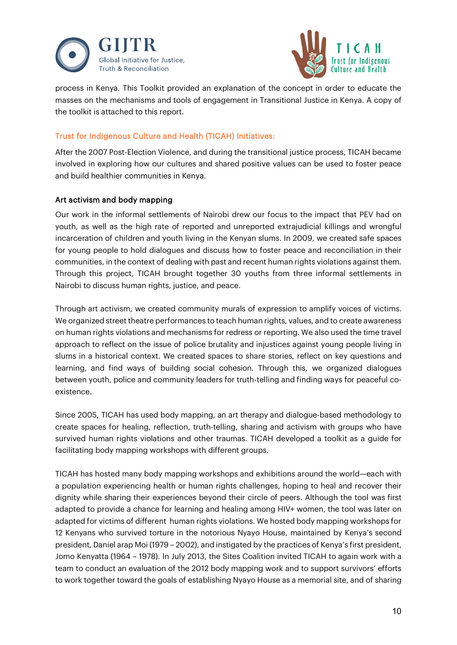



process in Kenya. This Toolkit provided an explanation of the concept in order to educate the masses on the mechanisms and tools of engagement in Transitional Justice in Kenya. A copy of the toolkit is attached to this report.

## Trust for Indigenous Culture and Health (TICAH) Initiatives:

After the 2007 Post-Election Violence, and during the transitional justice process, TICAH became involved in exploring how our cultures and shared positive values can be used to foster peace and build healthier communities in Kenya.

### Art activism and body mapping

Our work in the informal settlements of Nairobi drew our focus to the impact that PEV had on youth, as well as the high rate of reported and unreported extrajudicial killings and wrongful incarceration of children and youth living in the Kenyan slums. In 2009, we created safe spaces for young people to hold dialogues and discuss how to foster peace and reconciliation in their communities, in the context of dealing with past and recent human rights violations against them. Through this project, TICAH brought together 30 youths from three informal settlements in Nairobi to discuss human rights, justice, and peace.

Through art activism, we created community murals of expression to amplify voices of victims. We organized street theatre performances to teach human rights, values, and to create awareness on human rights violations and mechanisms for redress or reporting. We also used the time travel approach to reflect on the issue of police brutality and injustices against young people living in slums in a historical context. We created spaces to share stories, reflect on key questions and learning, and find ways of building social cohesion. Through this, we organized dialogues between youth, police and community leaders for truth-telling and finding ways for peaceful coexistence.

Since 2005, TICAH has used body mapping, an art therapy and dialogue-based methodology to create spaces for healing, reflection, truth-telling, sharing and activism with groups who have survived human rights violations and other traumas. TICAH developed a toolkit as a guide for facilitating body mapping workshops with different groups.

TICAH has hosted many body mapping workshops and exhibitions around the world—each with a population experiencing health or human rights challenges, hoping to heal and recover their dignity while sharing their experiences beyond their circle of peers. Although the tool was first adapted to provide a chance for learning and healing among HIV+ women, the tool was later on adapted for victims of different human rights violations. We hosted body mapping workshops for 12 Kenyans who survived torture in the notorious Nyayo House, maintained by Kenya's second president, Daniel arap Moi (1979 – 2002), and instigated by the practices of Kenya's first president, Jomo Kenyatta (1964 – 1978). In July 2013, the Sites Coalition invited TICAH to again work with a team to conduct an evaluation of the 2012 body mapping work and to support survivors' efforts to work together toward the goals of establishing Nyayo House as a memorial site, and of sharing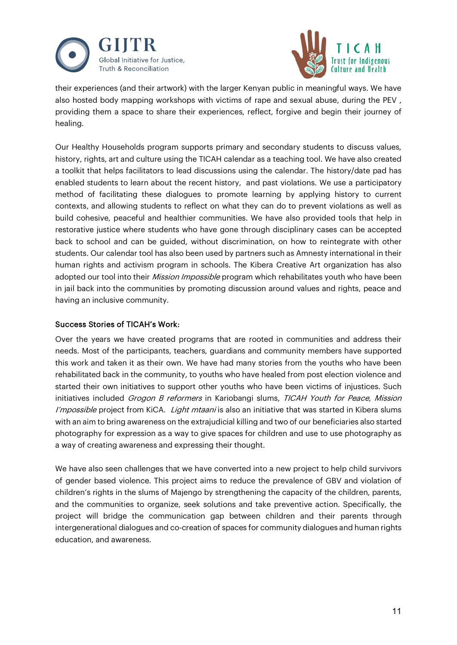



their experiences (and their artwork) with the larger Kenyan public in meaningful ways. We have also hosted body mapping workshops with victims of rape and sexual abuse, during the PEV , providing them a space to share their experiences, reflect, forgive and begin their journey of healing.

Our Healthy Households program supports primary and secondary students to discuss values, history, rights, art and culture using the TICAH calendar as a teaching tool. We have also created a toolkit that helps facilitators to lead discussions using the calendar. The history/date pad has enabled students to learn about the recent history, and past violations. We use a participatory method of facilitating these dialogues to promote learning by applying history to current contexts, and allowing students to reflect on what they can do to prevent violations as well as build cohesive, peaceful and healthier communities. We have also provided tools that help in restorative justice where students who have gone through disciplinary cases can be accepted back to school and can be guided, without discrimination, on how to reintegrate with other students. Our calendar tool has also been used by partners such as Amnesty international in their human rights and activism program in schools. The Kibera Creative Art organization has also adopted our tool into their *Mission Impossible* program which rehabilitates youth who have been in jail back into the communities by promoting discussion around values and rights, peace and having an inclusive community.

#### Success Stories of TICAH's Work:

Over the years we have created programs that are rooted in communities and address their needs. Most of the participants, teachers, guardians and community members have supported this work and taken it as their own. We have had many stories from the youths who have been rehabilitated back in the community, to youths who have healed from post election violence and started their own initiatives to support other youths who have been victims of injustices. Such initiatives included Grogon B reformers in Kariobangi slums, TICAH Youth for Peace, Mission I'mpossible project from KiCA. Light mtaani is also an initiative that was started in Kibera slums with an aim to bring awareness on the extrajudicial killing and two of our beneficiaries also started photography for expression as a way to give spaces for children and use to use photography as a way of creating awareness and expressing their thought.

We have also seen challenges that we have converted into a new project to help child survivors of gender based violence. This project aims to reduce the prevalence of GBV and violation of children's rights in the slums of Majengo by strengthening the capacity of the children, parents, and the communities to organize, seek solutions and take preventive action. Specifically, the project will bridge the communication gap between children and their parents through intergenerational dialogues and co-creation of spaces for community dialogues and human rights education, and awareness.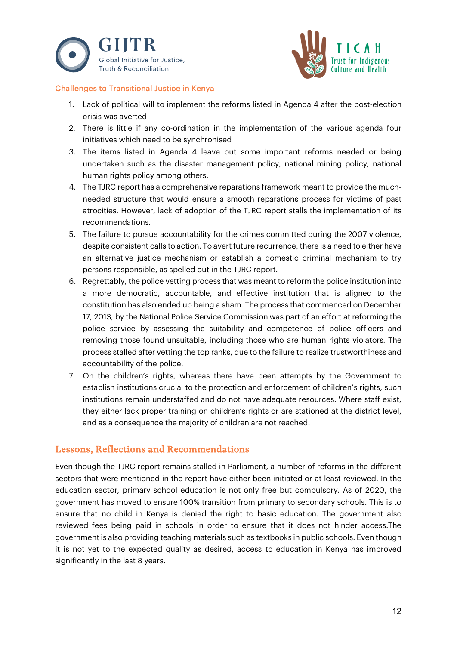



### Challenges to Transitional Justice in Kenya

- 1. Lack of political will to implement the reforms listed in Agenda 4 after the post-election crisis was averted
- 2. There is little if any co-ordination in the implementation of the various agenda four initiatives which need to be synchronised
- 3. The items listed in Agenda 4 leave out some important reforms needed or being undertaken such as the disaster management policy, national mining policy, national human rights policy among others.
- 4. The TJRC report has a comprehensive reparations framework meant to provide the muchneeded structure that would ensure a smooth reparations process for victims of past atrocities. However, lack of adoption of the TJRC report stalls the implementation of its recommendations.
- 5. The failure to pursue accountability for the crimes committed during the 2007 violence, despite consistent calls to action. To avert future recurrence, there is a need to either have an alternative justice mechanism or establish a domestic criminal mechanism to try persons responsible, as spelled out in the TJRC report.
- 6. Regrettably, the police vetting process that was meant to reform the police institution into a more democratic, accountable, and effective institution that is aligned to the constitution has also ended up being a sham. The process that commenced on December 17, 2013, by the National Police Service Commission was part of an effort at reforming the police service by assessing the suitability and competence of police officers and removing those found unsuitable, including those who are human rights violators. The process stalled after vetting the top ranks, due to the failure to realize trustworthiness and accountability of the police.
- 7. On the children's rights, whereas there have been attempts by the Government to establish institutions crucial to the protection and enforcement of children's rights, such institutions remain understaffed and do not have adequate resources. Where staff exist, they either lack proper training on children's rights or are stationed at the district level, and as a consequence the majority of children are not reached.

## Lessons, Reflections and Recommendations

Even though the TJRC report remains stalled in Parliament, a number of reforms in the different sectors that were mentioned in the report have either been initiated or at least reviewed. In the education sector, primary school education is not only free but compulsory. As of 2020, the government has moved to ensure 100% transition from primary to secondary schools. This is to ensure that no child in Kenya is denied the right to basic education. The government also reviewed fees being paid in schools in order to ensure that it does not hinder access.The government is also providing teaching materials such as textbooks in public schools. Even though it is not yet to the expected quality as desired, access to education in Kenya has improved significantly in the last 8 years.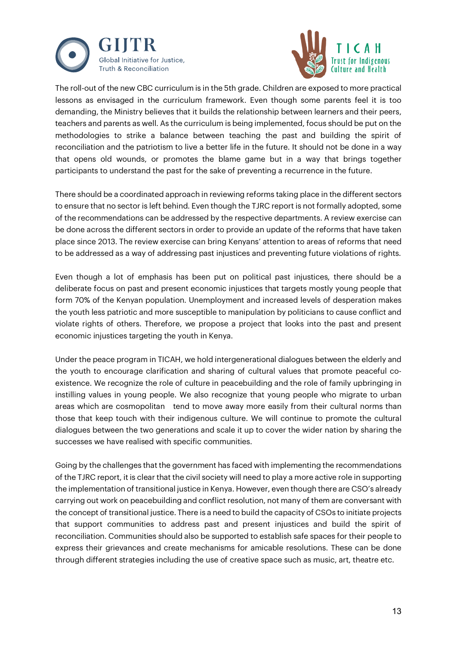



The roll-out of the new CBC curriculum is in the 5th grade. Children are exposed to more practical lessons as envisaged in the curriculum framework. Even though some parents feel it is too demanding, the Ministry believes that it builds the relationship between learners and their peers, teachers and parents as well. As the curriculum is being implemented, focus should be put on the methodologies to strike a balance between teaching the past and building the spirit of reconciliation and the patriotism to live a better life in the future. It should not be done in a way that opens old wounds, or promotes the blame game but in a way that brings together participants to understand the past for the sake of preventing a recurrence in the future.

There should be a coordinated approach in reviewing reforms taking place in the different sectors to ensure that no sector is left behind. Even though the TJRC report is not formally adopted, some of the recommendations can be addressed by the respective departments. A review exercise can be done across the different sectors in order to provide an update of the reforms that have taken place since 2013. The review exercise can bring Kenyans' attention to areas of reforms that need to be addressed as a way of addressing past injustices and preventing future violations of rights.

Even though a lot of emphasis has been put on political past injustices, there should be a deliberate focus on past and present economic injustices that targets mostly young people that form 70% of the Kenyan population. Unemployment and increased levels of desperation makes the youth less patriotic and more susceptible to manipulation by politicians to cause conflict and violate rights of others. Therefore, we propose a project that looks into the past and present economic injustices targeting the youth in Kenya.

Under the peace program in TICAH, we hold intergenerational dialogues between the elderly and the youth to encourage clarification and sharing of cultural values that promote peaceful coexistence. We recognize the role of culture in peacebuilding and the role of family upbringing in instilling values in young people. We also recognize that young people who migrate to urban areas which are cosmopolitan tend to move away more easily from their cultural norms than those that keep touch with their indigenous culture. We will continue to promote the cultural dialogues between the two generations and scale it up to cover the wider nation by sharing the successes we have realised with specific communities.

Going by the challenges that the government has faced with implementing the recommendations of the TJRC report, it is clear that the civil society will need to play a more active role in supporting the implementation of transitional justice in Kenya. However, even though there are CSO's already carrying out work on peacebuilding and conflict resolution, not many of them are conversant with the concept of transitional justice. There is a need to build the capacity of CSOs to initiate projects that support communities to address past and present injustices and build the spirit of reconciliation. Communities should also be supported to establish safe spaces for their people to express their grievances and create mechanisms for amicable resolutions. These can be done through different strategies including the use of creative space such as music, art, theatre etc.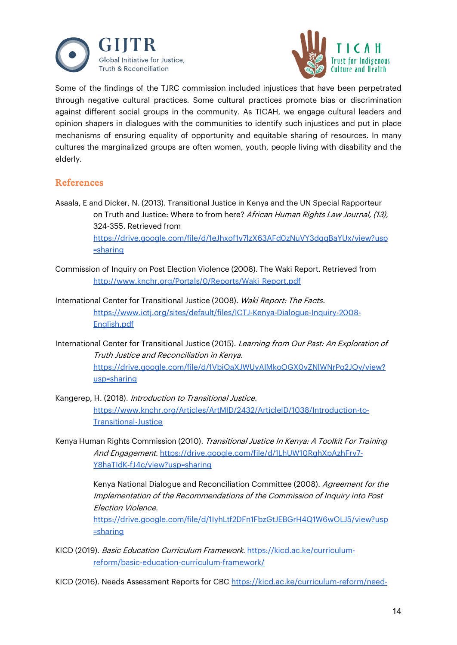



Some of the findings of the TJRC commission included injustices that have been perpetrated through negative cultural practices. Some cultural practices promote bias or discrimination against different social groups in the community. As TICAH, we engage cultural leaders and opinion shapers in dialogues with the communities to identify such injustices and put in place mechanisms of ensuring equality of opportunity and equitable sharing of resources. In many cultures the marginalized groups are often women, youth, people living with disability and the elderly.

## References

- Asaala, E and Dicker, N. (2013). Transitional Justice in Kenya and the UN Special Rapporteur on Truth and Justice: Where to from here? African Human Rights Law Journal, (13), 324-355. Retrieved from [https://drive.google.com/file/d/1eJhxof1v7lzX63AFd0zNuVY3dqqBaYUx/view?usp](https://drive.google.com/file/d/1eJhxof1v7lzX63AFd0zNuVY3dqqBaYUx/view?usp=sharing) [=sharing](https://drive.google.com/file/d/1eJhxof1v7lzX63AFd0zNuVY3dqqBaYUx/view?usp=sharing)
- Commission of Inquiry on Post Election Violence (2008). The Waki Report. Retrieved from [http://www.knchr.org/Portals/0/Reports/Waki\\_Report.pdf](http://www.knchr.org/Portals/0/Reports/Waki_Report.pdf)

International Center for Transitional Justice (2008). Waki Report: The Facts. [https://www.ictj.org/sites/default/files/ICTJ-Kenya-Dialogue-Inquiry-2008-](https://www.ictj.org/sites/default/files/ICTJ-Kenya-Dialogue-Inquiry-2008-English.pdf) [English.pdf](https://www.ictj.org/sites/default/files/ICTJ-Kenya-Dialogue-Inquiry-2008-English.pdf)

International Center for Transitional Justice (2015). Learning from Our Past: An Exploration of Truth Justice and Reconciliation in Kenya. [https://drive.google.com/file/d/1VbiOaXJWUyAIMkoOGX0vZNlWNrPo2JOy/view?](https://drive.google.com/file/d/1VbiOaXJWUyAIMkoOGX0vZNlWNrPo2JOy/view?usp=sharing) [usp=sharing](https://drive.google.com/file/d/1VbiOaXJWUyAIMkoOGX0vZNlWNrPo2JOy/view?usp=sharing) 

Kangerep, H. (2018). Introduction to Transitional Justice. [https://www.knchr.org/Articles/ArtMID/2432/ArticleID/1038/Introduction-to-](https://www.knchr.org/Articles/ArtMID/2432/ArticleID/1038/Introduction-to-Transitional-Justice)[Transitional-Justice](https://www.knchr.org/Articles/ArtMID/2432/ArticleID/1038/Introduction-to-Transitional-Justice)

Kenya Human Rights Commission (2010). Transitional Justice In Kenya: A Toolkit For Training And Engagement. [https://drive.google.com/file/d/1LhUW10RghXpAzhFrv7-](https://drive.google.com/file/d/1LhUW10RghXpAzhFrv7-Y8haTIdK-fJ4c/view?usp=sharing) [Y8haTIdK-fJ4c/view?usp=sharing](https://drive.google.com/file/d/1LhUW10RghXpAzhFrv7-Y8haTIdK-fJ4c/view?usp=sharing)

> Kenya National Dialogue and Reconciliation Committee (2008). Agreement for the Implementation of the Recommendations of the Commission of Inquiry into Post Election Violence.

> [https://drive.google.com/file/d/1IyhLtf2DFn1FbzGtJEBGrH4Q1W6wOLJ5/view?usp](https://drive.google.com/file/d/1IyhLtf2DFn1FbzGtJEBGrH4Q1W6wOLJ5/view?usp=sharing) [=sharing](https://drive.google.com/file/d/1IyhLtf2DFn1FbzGtJEBGrH4Q1W6wOLJ5/view?usp=sharing)

KICD (2019). Basic Education Curriculum Framework. [https://kicd.ac.ke/curriculum](https://kicd.ac.ke/curriculum-reform/basic-education-curriculum-framework/)[reform/basic-education-curriculum-framework/](https://kicd.ac.ke/curriculum-reform/basic-education-curriculum-framework/)

KICD (2016). Needs Assessment Reports for CBC [https://kicd.ac.ke/curriculum-reform/need-](https://kicd.ac.ke/curriculum-reform/need-assessment-reports-for-cbc/)